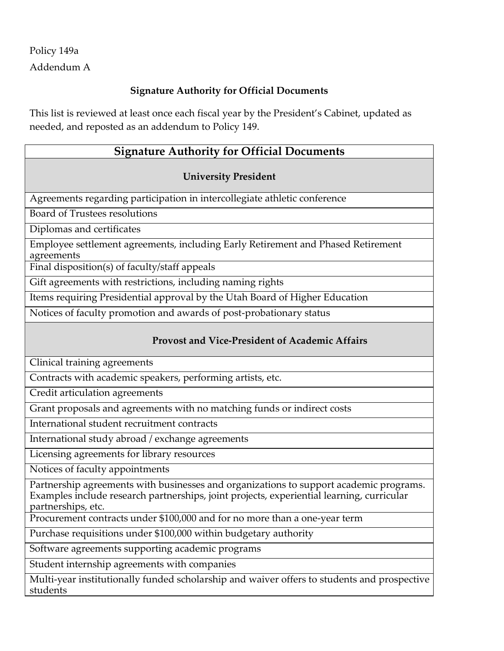# Policy 149a Addendum A

### **Signature Authority for Official Documents**

This list is reviewed at least once each fiscal year by the President's Cabinet, updated as needed, and reposted as an addendum to Policy 149.

# **Signature Authority for Official Documents**

#### **University President**

Agreements regarding participation in intercollegiate athletic conference

Board of Trustees resolutions

Diplomas and certificates

Employee settlement agreements, including Early Retirement and Phased Retirement agreements

Final disposition(s) of faculty/staff appeals

Gift agreements with restrictions, including naming rights

Items requiring Presidential approval by the Utah Board of Higher Education

Notices of faculty promotion and awards of post-probationary status

#### **Provost and Vice-President of Academic Affairs**

Clinical training agreements

Contracts with academic speakers, performing artists, etc.

Credit articulation agreements

Grant proposals and agreements with no matching funds or indirect costs

International student recruitment contracts

International study abroad / exchange agreements

Licensing agreements for library resources

Notices of faculty appointments

Partnership agreements with businesses and organizations to support academic programs. Examples include research partnerships, joint projects, experiential learning, curricular partnerships, etc.

Procurement contracts under \$100,000 and for no more than a one-year term

Purchase requisitions under \$100,000 within budgetary authority

Software agreements supporting academic programs

Student internship agreements with companies

Multi-year institutionally funded scholarship and waiver offers to students and prospective students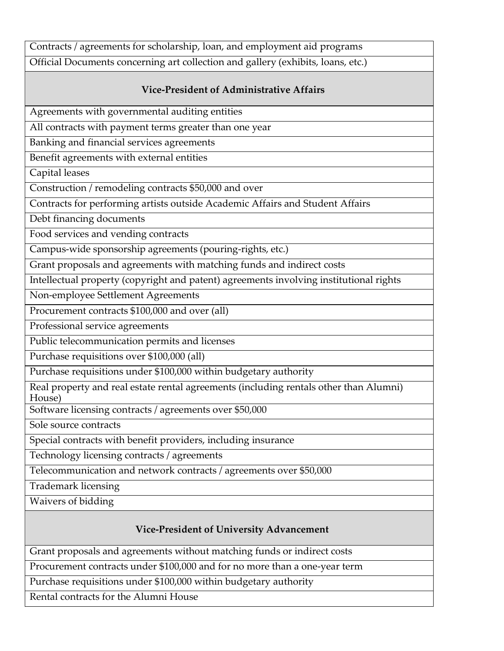Contracts / agreements for scholarship, loan, and employment aid programs

Official Documents concerning art collection and gallery (exhibits, loans, etc.)

#### **Vice-President of Administrative Affairs**

Agreements with governmental auditing entities

All contracts with payment terms greater than one year

Banking and financial services agreements

Benefit agreements with external entities

Capital leases

Construction / remodeling contracts \$50,000 and over

Contracts for performing artists outside Academic Affairs and Student Affairs

Debt financing documents

Food services and vending contracts

Campus-wide sponsorship agreements (pouring-rights, etc.)

Grant proposals and agreements with matching funds and indirect costs

Intellectual property (copyright and patent) agreements involving institutional rights

Non-employee Settlement Agreements

Procurement contracts \$100,000 and over (all)

Professional service agreements

Public telecommunication permits and licenses

Purchase requisitions over \$100,000 (all)

Purchase requisitions under \$100,000 within budgetary authority

Real property and real estate rental agreements (including rentals other than Alumni) House)

Software licensing contracts / agreements over \$50,000

Sole source contracts

Special contracts with benefit providers, including insurance

Technology licensing contracts / agreements

Telecommunication and network contracts / agreements over \$50,000

Trademark licensing

Waivers of bidding

# **Vice-President of University Advancement**

Grant proposals and agreements without matching funds or indirect costs

Procurement contracts under \$100,000 and for no more than a one-year term

Purchase requisitions under \$100,000 within budgetary authority

Rental contracts for the Alumni House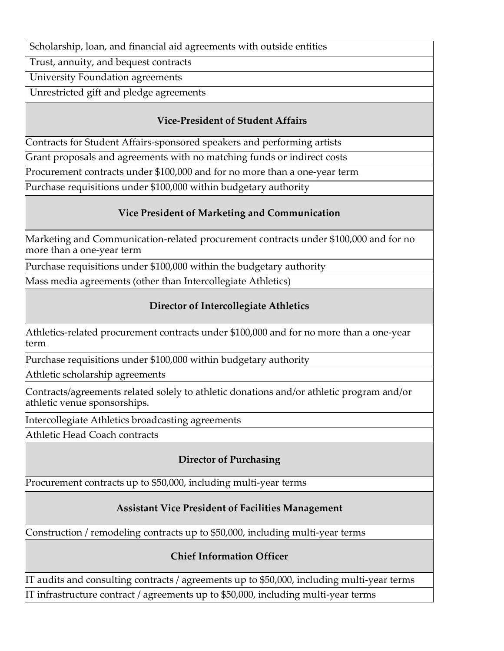Scholarship, loan, and financial aid agreements with outside entities

Trust, annuity, and bequest contracts

University Foundation agreements

Unrestricted gift and pledge agreements

#### **Vice-President of Student Affairs**

Contracts for Student Affairs-sponsored speakers and performing artists

Grant proposals and agreements with no matching funds or indirect costs

Procurement contracts under \$100,000 and for no more than a one-year term

Purchase requisitions under \$100,000 within budgetary authority

### **Vice President of Marketing and Communication**

Marketing and Communication-related procurement contracts under \$100,000 and for no more than a one-year term

Purchase requisitions under \$100,000 within the budgetary authority

Mass media agreements (other than Intercollegiate Athletics)

### **Director of Intercollegiate Athletics**

Athletics-related procurement contracts under \$100,000 and for no more than a one-year term

Purchase requisitions under \$100,000 within budgetary authority

Athletic scholarship agreements

Contracts/agreements related solely to athletic donations and/or athletic program and/or athletic venue sponsorships.

Intercollegiate Athletics broadcasting agreements

Athletic Head Coach contracts

# **Director of Purchasing**

Procurement contracts up to \$50,000, including multi-year terms

# **Assistant Vice President of Facilities Management**

Construction / remodeling contracts up to \$50,000, including multi-year terms

# **Chief Information Officer**

IT audits and consulting contracts / agreements up to \$50,000, including multi-year terms IT infrastructure contract / agreements up to \$50,000, including multi-year terms